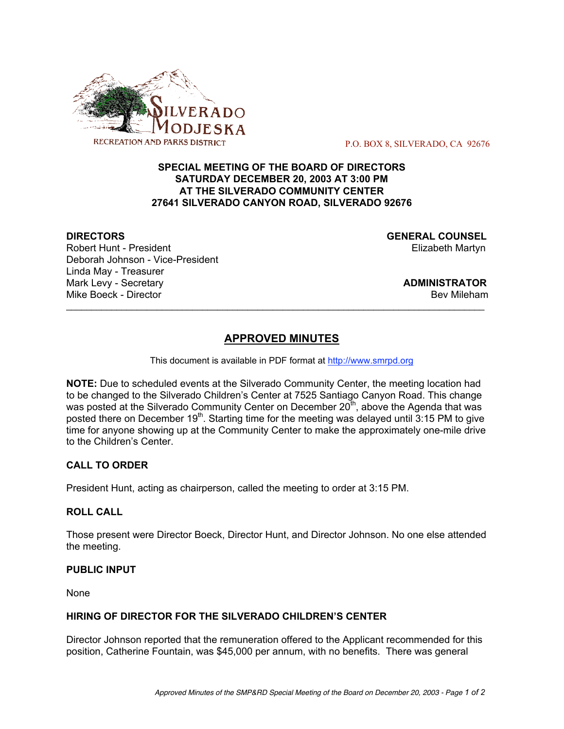

P.O. BOX 8, SILVERADO, CA 92676

### **SPECIAL MEETING OF THE BOARD OF DIRECTORS SATURDAY DECEMBER 20, 2003 AT 3:00 PM AT THE SILVERADO COMMUNITY CENTER 27641 SILVERADO CANYON ROAD, SILVERADO 92676**

Robert Hunt - President Elizabeth Martyn Deborah Johnson - Vice-President Linda May - Treasurer Mark Levy - Secretary **ADMINISTRATOR** Mike Boeck - Director **Bev Mileham Mike Boeck - Director** Bev Mileham **Bev Mileham** 

**DIRECTORS GENERAL COUNSEL**

# **APPROVED MINUTES**

 $\mathcal{L}_\text{max}$  , and the contribution of the contribution of the contribution of the contribution of the contribution of the contribution of the contribution of the contribution of the contribution of the contribution of t

This document is available in PDF format at http://www.smrpd.org

**NOTE:** Due to scheduled events at the Silverado Community Center, the meeting location had to be changed to the Silverado Children's Center at 7525 Santiago Canyon Road. This change was posted at the Silverado Community Center on December  $20<sup>th</sup>$ , above the Agenda that was posted there on December  $19<sup>th</sup>$ . Starting time for the meeting was delayed until 3:15 PM to give time for anyone showing up at the Community Center to make the approximately one-mile drive to the Children's Center.

## **CALL TO ORDER**

President Hunt, acting as chairperson, called the meeting to order at 3:15 PM.

#### **ROLL CALL**

Those present were Director Boeck, Director Hunt, and Director Johnson. No one else attended the meeting.

#### **PUBLIC INPUT**

None

#### **HIRING OF DIRECTOR FOR THE SILVERADO CHILDREN'S CENTER**

Director Johnson reported that the remuneration offered to the Applicant recommended for this position, Catherine Fountain, was \$45,000 per annum, with no benefits. There was general